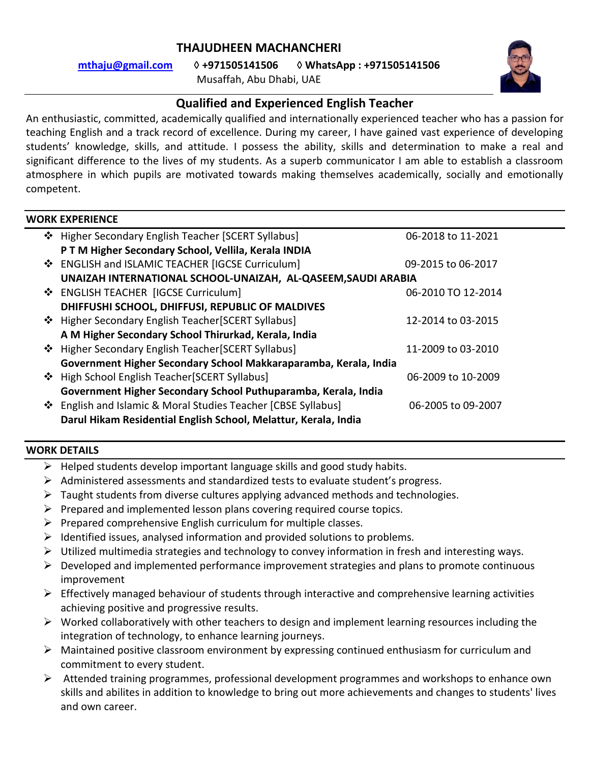## **THAJUDHEEN MACHANCHERI**

**[mthaju@gmail.com](mailto:mthaju@gmail.com)** ◊ **+971505141506** ◊ **WhatsApp : +971505141506**

Musaffah, Abu Dhabi, UAE



# **Qualified and Experienced English Teacher**

An enthusiastic, committed, academically qualified and internationally experienced teacher who has a passion for teaching English and a track record of excellence. During my career, I have gained vast experience of developing students' knowledge, skills, and attitude. I possess the ability, skills and determination to make a real and significant difference to the lives of my students. As a superb communicator I am able to establish a classroom atmosphere in which pupils are motivated towards making themselves academically, socially and emotionally competent.

## **WORK EXPERIENCE**

| ❖ Higher Secondary English Teacher [SCERT Syllabus]              | 06-2018 to 11-2021 |
|------------------------------------------------------------------|--------------------|
| PTM Higher Secondary School, Vellila, Kerala INDIA               |                    |
| ❖ ENGLISH and ISLAMIC TEACHER [IGCSE Curriculum]                 | 09-2015 to 06-2017 |
| UNAIZAH INTERNATIONAL SCHOOL-UNAIZAH, AL-QASEEM, SAUDI ARABIA    |                    |
| ❖ ENGLISH TEACHER [IGCSE Curriculum]                             | 06-2010 TO 12-2014 |
| DHIFFUSHI SCHOOL, DHIFFUSI, REPUBLIC OF MALDIVES                 |                    |
| ❖ Higher Secondary English Teacher [SCERT Syllabus]              | 12-2014 to 03-2015 |
| A M Higher Secondary School Thirurkad, Kerala, India             |                    |
| ❖ Higher Secondary English Teacher [SCERT Syllabus]              | 11-2009 to 03-2010 |
| Government Higher Secondary School Makkaraparamba, Kerala, India |                    |
| ❖ High School English Teacher [SCERT Syllabus]                   | 06-2009 to 10-2009 |
| Government Higher Secondary School Puthuparamba, Kerala, India   |                    |
| ❖ English and Islamic & Moral Studies Teacher [CBSE Syllabus]    | 06-2005 to 09-2007 |
| Darul Hikam Residential English School, Melattur, Kerala, India  |                    |
|                                                                  |                    |

## **WORK DETAILS**

- $\triangleright$  Helped students develop important language skills and good study habits.
- $\triangleright$  Administered assessments and standardized tests to evaluate student's progress.
- $\triangleright$  Taught students from diverse cultures applying advanced methods and technologies.
- $\triangleright$  Prepared and implemented lesson plans covering required course topics.
- $\triangleright$  Prepared comprehensive English curriculum for multiple classes.
- $\triangleright$  Identified issues, analysed information and provided solutions to problems.
- $\triangleright$  Utilized multimedia strategies and technology to convey information in fresh and interesting ways.
- $\triangleright$  Developed and implemented performance improvement strategies and plans to promote continuous improvement
- $\triangleright$  Effectively managed behaviour of students through interactive and comprehensive learning activities achieving positive and progressive results.
- $\triangleright$  Worked collaboratively with other teachers to design and implement learning resources including the integration of technology, to enhance learning journeys.
- $\triangleright$  Maintained positive classroom environment by expressing continued enthusiasm for curriculum and commitment to every student.
- $\triangleright$  Attended training programmes, professional development programmes and workshops to enhance own skills and abilites in addition to knowledge to bring out more achievements and changes to students' lives and own career.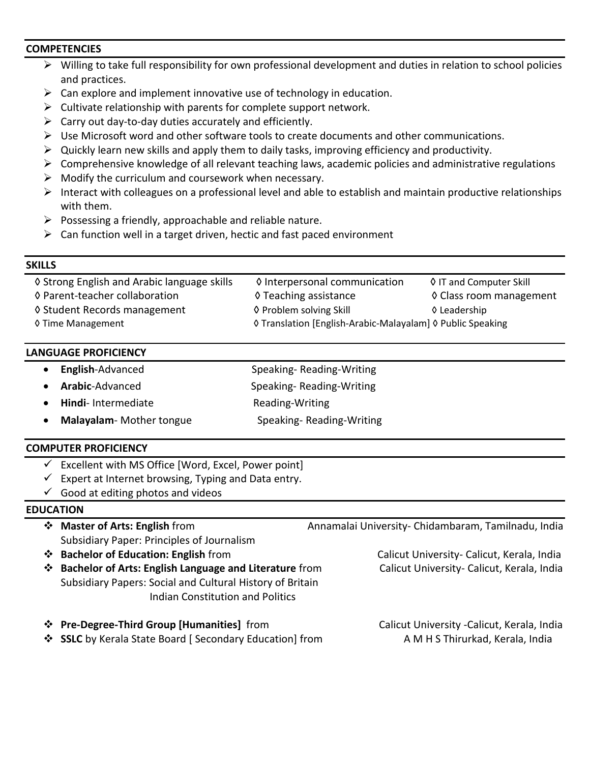### **COMPETENCIES**

- Willing to take full responsibility for own professional development and duties in relation to school policies and practices.
- $\triangleright$  Can explore and implement innovative use of technology in education.
- $\triangleright$  Cultivate relationship with parents for complete support network.
- $\triangleright$  Carry out day-to-day duties accurately and efficiently.
- $\triangleright$  Use Microsoft word and other software tools to create documents and other communications.
- $\triangleright$  Quickly learn new skills and apply them to daily tasks, improving efficiency and productivity.
- $\triangleright$  Comprehensive knowledge of all relevant teaching laws, academic policies and administrative regulations
- $\triangleright$  Modify the curriculum and coursework when necessary.
- $\triangleright$  Interact with colleagues on a professional level and able to establish and maintain productive relationships with them.
- $\triangleright$  Possessing a friendly, approachable and reliable nature.
- $\triangleright$  Can function well in a target driven, hectic and fast paced environment

## **SKILLS**

| ♦ Strong English and Arabic language skills | ♦ Interpersonal communication                              | ♦ IT and Computer Skill |
|---------------------------------------------|------------------------------------------------------------|-------------------------|
| ♦ Parent-teacher collaboration              | ♦ Teaching assistance                                      | ♦ Class room management |
| ♦ Student Records management                | ♦ Problem solving Skill                                    | ♦ Leadership            |
| ♦ Time Management                           | ♦ Translation [English-Arabic-Malayalam] ♦ Public Speaking |                         |

## **LANGUAGE PROFICIENCY**

- **English**-Advanced Speaking- Reading-Writing
- Arabic-Advanced Speaking-Reading-Writing
- **Hindi** Intermediate Reading-Writing
- Malayalam- Mother tongue **Speaking- Reading-Writing**

## **COMPUTER PROFICIENCY**

- $\checkmark$  Excellent with MS Office [Word, Excel, Power point]
- $\checkmark$  Expert at Internet browsing, Typing and Data entry.
- $\checkmark$  Good at editing photos and videos

## **EDUCATION**

- **Master of Arts: English** from Annamalai University- Chidambaram, Tamilnadu, India Subsidiary Paper: Principles of Journalism
- **Bachelor of Education: English** from Calicut University- Calicut, Kerala, India
- **\*** Bachelor of Arts: English Language and Literature from Calicut University- Calicut, Kerala, India Subsidiary Papers: Social and Cultural History of Britain Indian Constitution and Politics
- **<sup>❖</sup> Pre-Degree-Third Group [Humanities]** from **Calicut University -Calicut, Kerala, India**
- **◆ SSLC** by Kerala State Board [ Secondary Education] from A M H S Thirurkad, Kerala, India